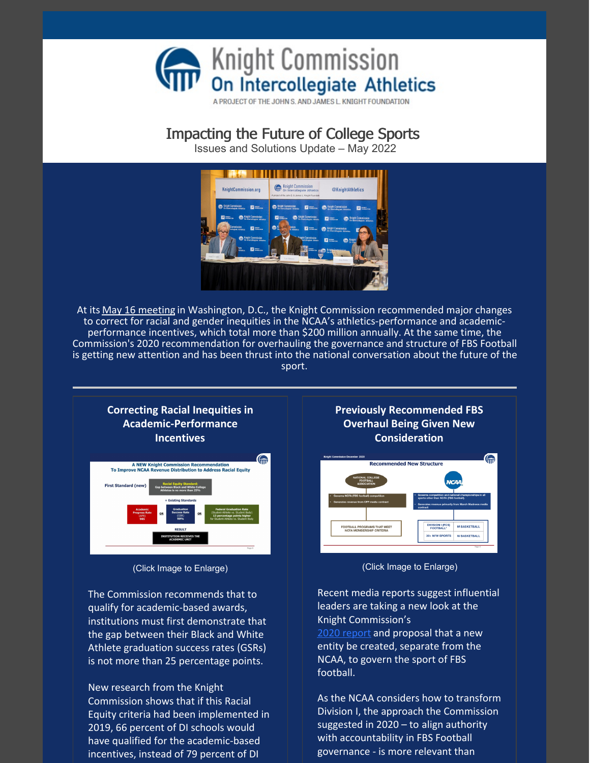

A PROJECT OF THE JOHN S. AND JAMES L. KNIGHT FOUNDATION

## Impacting the Future of College Sports

Issues and Solutions Update – May 2022



At its May 16 [meeting](https://www.knightcommission.org/2022/05/may-16-release/) in Washington, D.C., the Knight Commission recommended major changes to correct for racial and gender inequities in the NCAA's athletics-performance and academicperformance incentives, which total more than \$200 million annually. At the same time, the Commission's 2020 recommendation for overhauling the governance and structure of FBS Football is getting new attention and has been thrust into the national conversation about the future of the sport.



(Click Image to Enlarge)

The Commission recommends that to qualify for academic-based awards, institutions must first demonstrate that the gap between their Black and White Athlete graduation success rates (GSRs) is not more than 25 percentage points.

New research from the Knight Commission shows that if this Racial Equity criteria had been implemented in 2019, 66 percent of DI schools would have qualified for the academic-based incentives, instead of 79 percent of DI

**Previously Recommended FBS Overhaul Being Given New Consideration**



(Click Image to Enlarge)

Recent media reports suggest influential leaders are taking a new look at the Knight Commission's 2020 [report](https://www.knightcommission.org/wp-content/uploads/2021/02/transforming-the-ncaa-d-i-model-recommendations-for-change-1220-022221-update-01.pdf) and proposal that a new entity be created, separate from the NCAA, to govern the sport of FBS

football.

As the NCAA considers how to transform Division I, the approach the Commission suggested in 2020 – to align authority with accountability in FBS Football governance - is more relevant than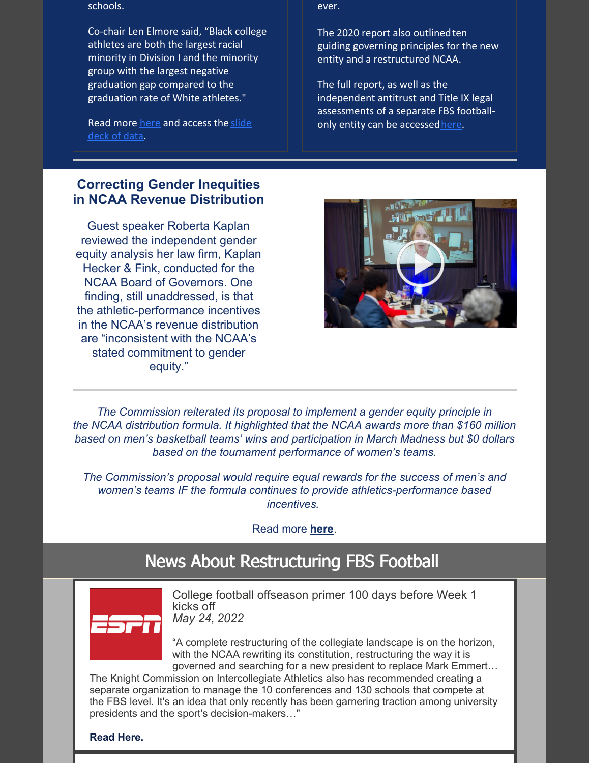schools.

Co-chair Len Elmore said, "Black college athletes are both the largest racial minority in Division I and the minority group with the largest negative graduation gap compared to the graduation rate of White athletes."

Read more [here](https://www.knightcommission.org/2022/05/may-16-release/) and [access](https://files.constantcontact.com/bbe8399a001/88490afe-443a-4473-a973-61aa7f74adec.pdf) the slide deck of data.

## **Correcting Gender Inequities in NCAA Revenue Distribution**

Guest speaker Roberta Kaplan reviewed the independent gender equity analysis her law firm, Kaplan Hecker & Fink, conducted for the NCAA Board of Governors. One finding, still unaddressed, is that the athletic-performance incentives in the NCAA's revenue distribution are "inconsistent with the NCAA's stated commitment to gender equity."

ever.

The 2020 report also outlinedten guiding governing principles for the new entity and a restructured NCAA.

The full report, as well as the independent antitrust and Title IX legal assessments of a separate FBS footballonly entity can be accessed[here](https://www.knightcommission.org/2020/12/knight-commission-recommends-a-new-governing-structure-for-the-sport-of-fbs-football/).



*The Commission reiterated its proposal to implement a gender equity principle in the NCAA distribution formula. It highlighted that the NCAA awards more than \$160 million based on men's basketball teams' wins and participation in March Madness but \$0 dollars based on the tournament performance of women's teams.*

*The Commission's proposal would require equal rewards for the success of men's and women's teams IF the formula continues to provide athletics-performance based incentives.*

Read more **[here](https://www.knightcommission.org/2022/05/may-16-release/)**.

# News About Restructuring FBS Football



College football offseason primer 100 days before Week 1 kicks off *May 24, 2022*

"A complete restructuring of the collegiate landscape is on the horizon, with the NCAA rewriting its constitution, restructuring the way it is governed and searching for a new president to replace Mark Emmert…

The Knight Commission on Intercollegiate Athletics also has recommended creating a separate organization to manage the 10 conferences and 130 schools that compete at the FBS level. It's an idea that only recently has been garnering traction among university presidents and the sport's decision-makers…"

**[Read](https://www.espn.com/college-football/story/_/id/33957879/college-football-offseason-primer-100-days-week-1-kicks-off) Here.**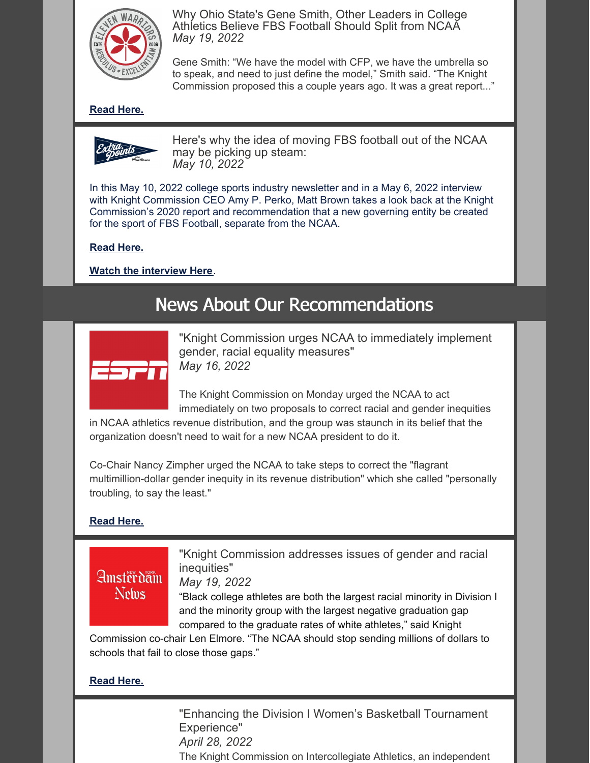

Why Ohio State's Gene Smith, Other Leaders in College Athletics Believe FBS Football Should Split from NCAA *May 19, 2022*

Gene Smith: "We have the model with CFP, we have the umbrella so to speak, and need to just define the model," Smith said. "The Knight Commission proposed this a couple years ago. It was a great report..."

## **[Read](https://www.elevenwarriors.com/ohio-state-football/2022/05/130942/why-ohio-state-s-gene-smith-other-leaders-in-college-athletics-believe-fbs-football-should-split-from-ncaa) Here.**



Here's why the idea of moving FBS football out of the NCAA may be picking up steam: *May 10, 2022*

In this May 10, 2022 college sports industry newsletter and in a May 6, 2022 interview with Knight Commission CEO Amy P. Perko, Matt Brown takes a look back at the Knight Commission's 2020 report and recommendation that a new governing entity be created for the sport of FBS Football, separate from the NCAA.

#### **[Read](https://www.extrapointsmb.com/heres-why-the-idea-of-moving-fbs-football-out-of-the-ncaa-may-be-picking-up-steam/) Here.**

**Watch the [interview](https://www.youtube.com/watch?v=MHwe7AzTbhE) Here**.

# News About Our Recommendations



"Knight Commission urges NCAA to immediately implement gender, racial equality measures" *May 16, 2022*

The Knight Commission on Monday urged the NCAA to act immediately on two proposals to correct racial and gender inequities

in NCAA athletics revenue distribution, and the group was staunch in its belief that the organization doesn't need to wait for a new NCAA president to do it.

Co-Chair Nancy Zimpher urged the NCAA to take steps to correct the "flagrant multimillion-dollar gender inequity in its revenue distribution" which she called "personally troubling, to say the least."

#### **[Read](https://www.espn.com/college-sports/story/_/id/33928704/knight-commission-urges-ncaa-immediately-implement-gender-racial-equality-measures) Here.**

# **Amsterdam** Nelus

"Knight Commission addresses issues of gender and racial inequities"

*May 19, 2022*

"Black college athletes are both the largest racial minority in Division I and the minority group with the largest negative graduation gap compared to the graduate rates of white athletes," said Knight

Commission co-chair Len Elmore. "The NCAA should stop sending millions of dollars to schools that fail to close those gaps."

### **[Read](https://amsterdamnews.com/news/2022/05/19/knight-commission-addresses-issues-of-gender-and-racial-inequities/) Here.**

"Enhancing the Division I Women's Basketball Tournament Experience" *April 28, 2022* The Knight Commission on Intercollegiate Athletics, an independent